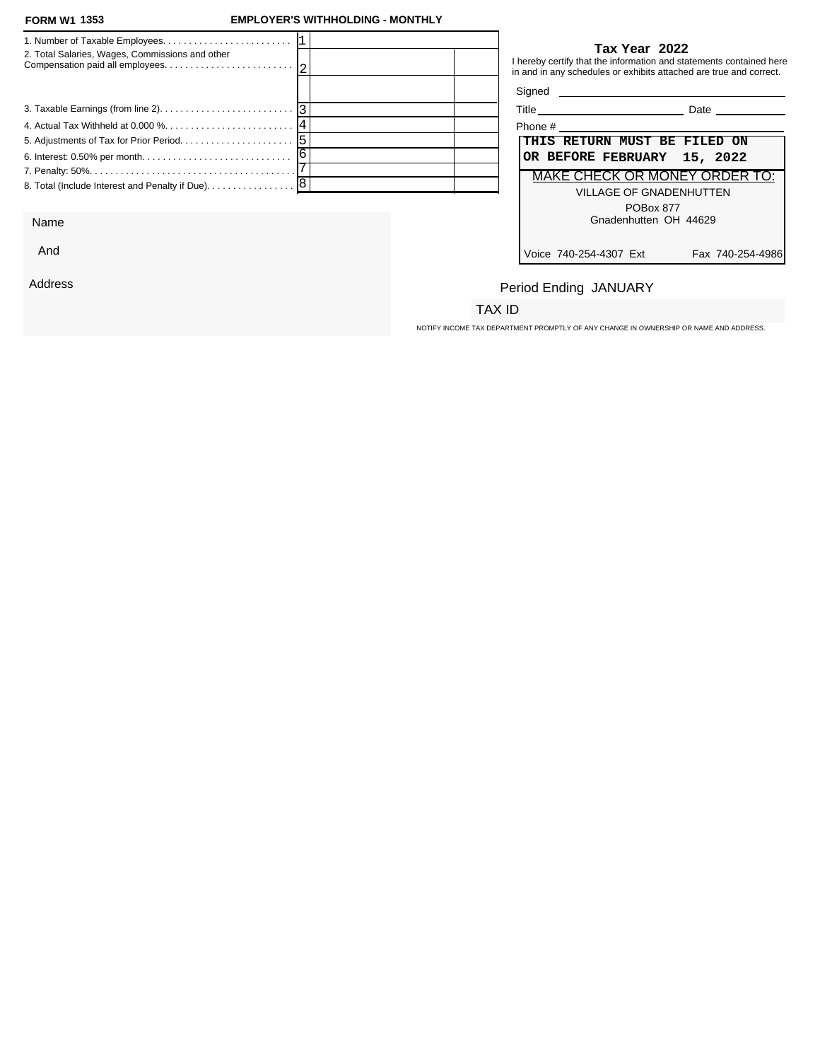And

Address

#### **FORM W1 EMPLOYER'S WITHHOLDING - MONTHLY**

|                                                 | Tax Year 2022                                                                                                                             |
|-------------------------------------------------|-------------------------------------------------------------------------------------------------------------------------------------------|
| 2. Total Salaries, Wages, Commissions and other | I hereby certify that the information and statements contained here<br>in and in any schedules or exhibits attached are true and correct. |
|                                                 |                                                                                                                                           |
|                                                 | <b>Date Date</b>                                                                                                                          |
|                                                 | Phone #                                                                                                                                   |
|                                                 | THIS RETURN MUST BE FILED ON                                                                                                              |
|                                                 | OR BEFORE FEBRUARY 15, 2022                                                                                                               |
|                                                 | MAKE CHECK OR MONEY ORDER TO:                                                                                                             |
|                                                 | <b>VILLAGE OF GNADENHUTTEN</b>                                                                                                            |
|                                                 | POBox 877                                                                                                                                 |
| Name                                            | Gnadenhutten OH 44629                                                                                                                     |

| $Title_$                             |                         | Date |  |
|--------------------------------------|-------------------------|------|--|
| Phone #                              |                         |      |  |
| THIS RETURN MUST BE FILED ON         |                         |      |  |
| OR BEFORE FEBRUARY 15, 2022          |                         |      |  |
| <b>MAKE CHECK OR MONEY ORDER TO:</b> |                         |      |  |
|                                      | VILLAGE OF GNADENHUTTEN |      |  |
|                                      | <b>POBox 877</b>        |      |  |
|                                      | Gnadenhutten OH 44629   |      |  |

Voice 740-254-4307 Ext Fax 740-254-4986

## Period Ending JANUARY

## TAX ID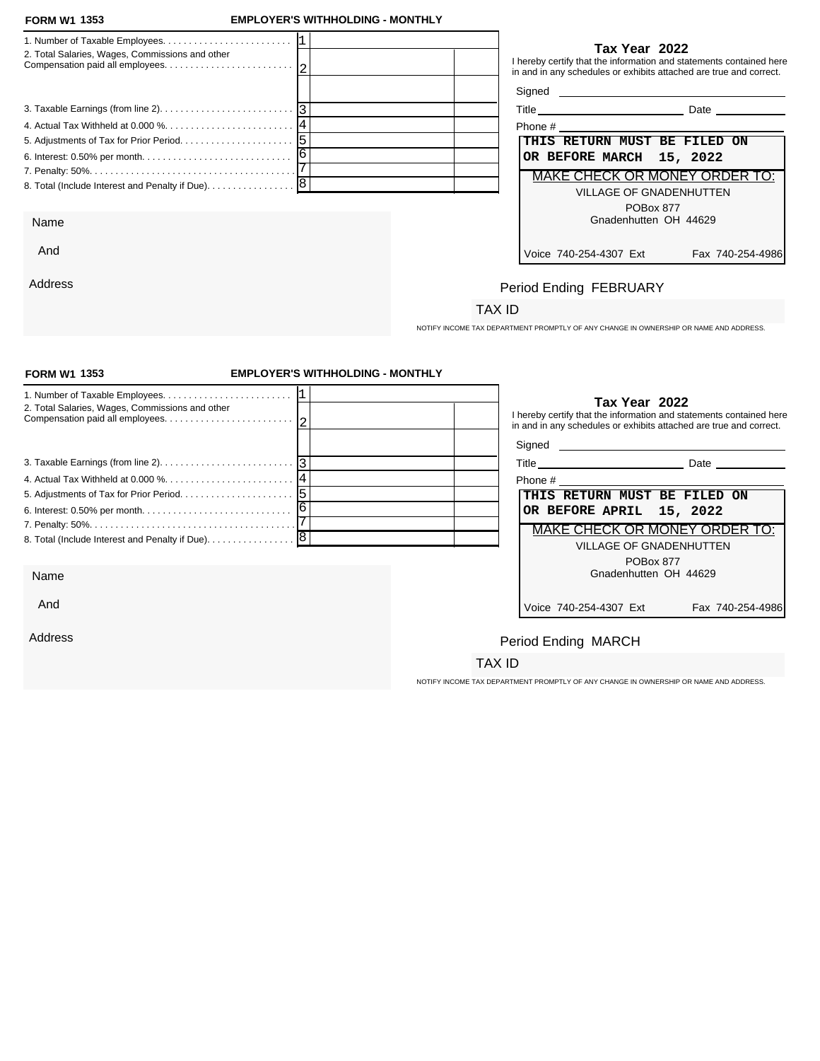Address

#### **FORM W1 EMPLOYER'S WITHHOLDING - MONTHLY**

| 2. Total Salaries, Wages, Commissions and other   | Tax Year 2022<br>I hereby certify that the information and statements contained here<br>in and in any schedules or exhibits attached are true and correct. |
|---------------------------------------------------|------------------------------------------------------------------------------------------------------------------------------------------------------------|
|                                                   | Signed <b>Signed</b>                                                                                                                                       |
|                                                   | Title Date Date                                                                                                                                            |
|                                                   | Phone # Phone # 2009                                                                                                                                       |
|                                                   | THIS RETURN MUST BE FILED ON                                                                                                                               |
|                                                   | OR BEFORE MARCH 15, 2022                                                                                                                                   |
|                                                   | <b>MAKE CHECK OR MONEY ORDER TO:</b>                                                                                                                       |
| 8. Total (Include Interest and Penalty if Due). 8 | <b>VILLAGE OF GNADENHUTTEN</b>                                                                                                                             |
|                                                   | POBox 877                                                                                                                                                  |
| Name                                              | Gnadenhutten OH 44629                                                                                                                                      |
| And                                               | Voice 740-254-4307 Ext<br>Fax 740-254-4986                                                                                                                 |

## Period Ending FEBRUARY

## TAX ID

NOTIFY INCOME TAX DEPARTMENT PROMPTLY OF ANY CHANGE IN OWNERSHIP OR NAME AND ADDRESS.

| <b>FORM W1 1353</b>                             | <b>EMPLOYER'S WITHHOLDING - MONTHLY</b> |                                                                                                                                                            |
|-------------------------------------------------|-----------------------------------------|------------------------------------------------------------------------------------------------------------------------------------------------------------|
| 2. Total Salaries, Wages, Commissions and other |                                         | Tax Year 2022<br>I hereby certify that the information and statements contained here<br>in and in any schedules or exhibits attached are true and correct. |
|                                                 |                                         |                                                                                                                                                            |
|                                                 |                                         | Title Date Date                                                                                                                                            |
|                                                 |                                         |                                                                                                                                                            |
|                                                 |                                         | THIS RETURN MUST BE FILED ON                                                                                                                               |
|                                                 |                                         | OR BEFORE APRIL 15, 2022                                                                                                                                   |
|                                                 |                                         | MAKE CHECK OR MONEY ORDER TO:                                                                                                                              |
|                                                 |                                         | <b>VILLAGE OF GNADENHUTTEN</b>                                                                                                                             |
|                                                 |                                         | POBox 877                                                                                                                                                  |
| Name                                            |                                         | Gnadenhutten OH 44629                                                                                                                                      |
| And                                             |                                         | Voice 740-254-4307 Ext<br>Fax 740-254-4986                                                                                                                 |
| Address                                         |                                         | Period Ending MARCH                                                                                                                                        |
|                                                 |                                         | TAX ID                                                                                                                                                     |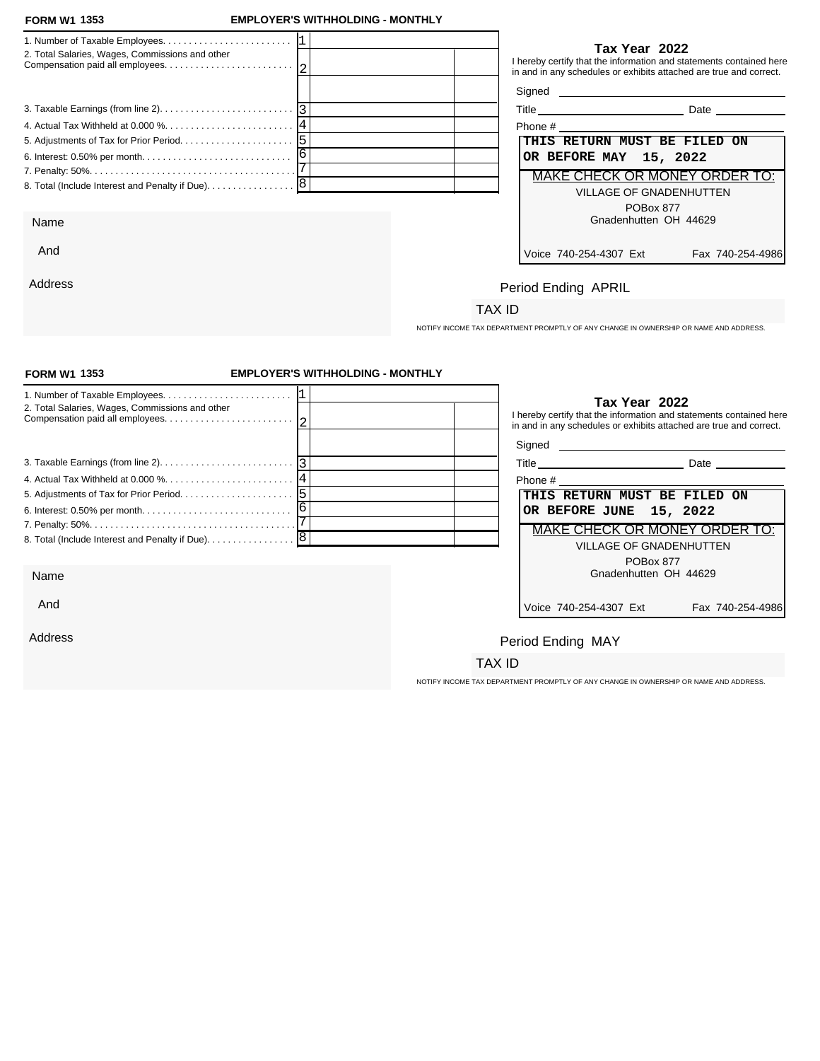## **FORM W1 EMPLOYER'S WITHHOLDING - MONTHLY**

| 2. Total Salaries, Wages, Commissions and other | Tax Year 2022<br>I hereby certify that the information and statements contained here<br>in and in any schedules or exhibits attached are true and correct. |
|-------------------------------------------------|------------------------------------------------------------------------------------------------------------------------------------------------------------|
|                                                 |                                                                                                                                                            |
|                                                 | Date and the state of the state of the state of the state of the state of the state of the state of the state o                                            |
|                                                 |                                                                                                                                                            |
|                                                 | THIS RETURN MUST BE FILED ON                                                                                                                               |
|                                                 | OR BEFORE MAY 15, 2022                                                                                                                                     |
|                                                 | <b>MAKE CHECK OR MONEY ORDER TO:</b>                                                                                                                       |
|                                                 | <b>VILLAGE OF GNADENHUTTEN</b>                                                                                                                             |
|                                                 | POBox 877                                                                                                                                                  |
| Name                                            | Gnadenhutten OH 44629                                                                                                                                      |
| And                                             | Voice 740-254-4307 Ext<br>Fax 740-254-4986                                                                                                                 |
| Address                                         | Period Ending APRII                                                                                                                                        |

# Period Ending APRIL

## TAX ID

NOTIFY INCOME TAX DEPARTMENT PROMPTLY OF ANY CHANGE IN OWNERSHIP OR NAME AND ADDRESS.

| <b>FORM W1 1353</b>                                                                             | <b>EMPLOYER'S WITHHOLDING - MONTHLY</b> |                                                                                                                                                                                    |
|-------------------------------------------------------------------------------------------------|-----------------------------------------|------------------------------------------------------------------------------------------------------------------------------------------------------------------------------------|
| 2. Total Salaries, Wages, Commissions and other                                                 |                                         | Tax Year 2022<br>I hereby certify that the information and statements contained here<br>in and in any schedules or exhibits attached are true and correct.<br>Signed <b>Signed</b> |
| 3. Taxable Earnings (from line 2). $\ldots$ . $\ldots$ . $\ldots$ . $\ldots$ . $\ldots$ . $ 3 $ |                                         |                                                                                                                                                                                    |
|                                                                                                 |                                         | Phone # Phone # 2009                                                                                                                                                               |
|                                                                                                 |                                         | THIS RETURN MUST BE FILED ON                                                                                                                                                       |
|                                                                                                 |                                         | OR BEFORE JUNE 15, 2022                                                                                                                                                            |
|                                                                                                 |                                         | MAKE CHECK OR MONEY ORDER TO:                                                                                                                                                      |
| 8. Total (Include Interest and Penalty if Due). [8]                                             |                                         | <b>VILLAGE OF GNADENHUTTEN</b>                                                                                                                                                     |
|                                                                                                 |                                         | POBox 877                                                                                                                                                                          |
| Name                                                                                            |                                         | Gnadenhutten OH 44629                                                                                                                                                              |
| And                                                                                             |                                         | Voice 740-254-4307 Ext<br>Fax 740-254-4986                                                                                                                                         |
| Address                                                                                         |                                         | Period Ending MAY                                                                                                                                                                  |
|                                                                                                 |                                         | TAX ID                                                                                                                                                                             |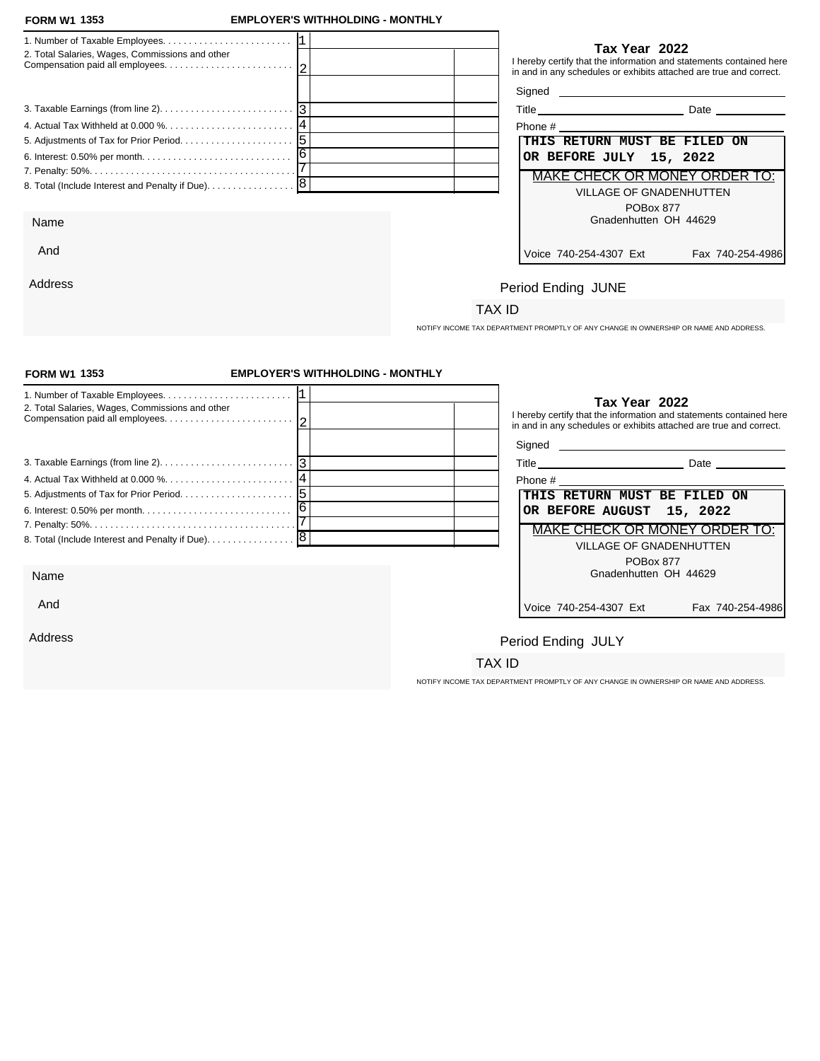## **FORM W1 EMPLOYER'S WITHHOLDING - MONTHLY**

| 2. Total Salaries, Wages, Commissions and other   |  | Tax Year 2022<br>I hereby certify that the information and statements contained here<br>in and in any schedules or exhibits attached are true and correct. |                  |
|---------------------------------------------------|--|------------------------------------------------------------------------------------------------------------------------------------------------------------|------------------|
|                                                   |  |                                                                                                                                                            |                  |
|                                                   |  | Title Date Date                                                                                                                                            |                  |
|                                                   |  |                                                                                                                                                            |                  |
|                                                   |  | THIS RETURN MUST BE FILED ON                                                                                                                               |                  |
|                                                   |  | OR BEFORE JULY 15, 2022                                                                                                                                    |                  |
|                                                   |  | MAKE CHECK OR MONEY ORDER TO:                                                                                                                              |                  |
| 8. Total (Include Interest and Penalty if Due). 8 |  | <b>VILLAGE OF GNADENHUTTEN</b>                                                                                                                             |                  |
|                                                   |  | POBox 877                                                                                                                                                  |                  |
| Name                                              |  | Gnadenhutten OH 44629                                                                                                                                      |                  |
| And                                               |  | Voice 740-254-4307 Ext                                                                                                                                     | Fax 740-254-4986 |
| Address                                           |  |                                                                                                                                                            |                  |
|                                                   |  | Period Ending JUNE                                                                                                                                         |                  |

# Period Ending JUNE

## TAX ID

NOTIFY INCOME TAX DEPARTMENT PROMPTLY OF ANY CHANGE IN OWNERSHIP OR NAME AND ADDRESS.

| <b>FORM W1 1353</b>                                                                             | <b>EMPLOYER'S WITHHOLDING - MONTHLY</b> |                                                                                                                                                            |
|-------------------------------------------------------------------------------------------------|-----------------------------------------|------------------------------------------------------------------------------------------------------------------------------------------------------------|
| 2. Total Salaries, Wages, Commissions and other                                                 |                                         | Tax Year 2022<br>I hereby certify that the information and statements contained here<br>in and in any schedules or exhibits attached are true and correct. |
|                                                                                                 |                                         |                                                                                                                                                            |
| 3. Taxable Earnings (from line 2). $\ldots$ . $\ldots$ . $\ldots$ . $\ldots$ . $\ldots$ . $ 3 $ |                                         | Date ______________                                                                                                                                        |
|                                                                                                 |                                         | Phone #                                                                                                                                                    |
|                                                                                                 |                                         | THIS RETURN MUST BE FILED ON                                                                                                                               |
|                                                                                                 |                                         | OR BEFORE AUGUST 15, 2022                                                                                                                                  |
|                                                                                                 |                                         | <b>MAKE CHECK OR MONEY ORDER TO:</b>                                                                                                                       |
|                                                                                                 |                                         | <b>VILLAGE OF GNADENHUTTEN</b>                                                                                                                             |
|                                                                                                 |                                         | POBox 877                                                                                                                                                  |
| Name                                                                                            |                                         | Gnadenhutten OH 44629                                                                                                                                      |
| And                                                                                             |                                         | Voice 740-254-4307 Ext<br>Fax 740-254-4986                                                                                                                 |
| Address                                                                                         |                                         | Period Ending JULY                                                                                                                                         |
|                                                                                                 |                                         | TAX ID                                                                                                                                                     |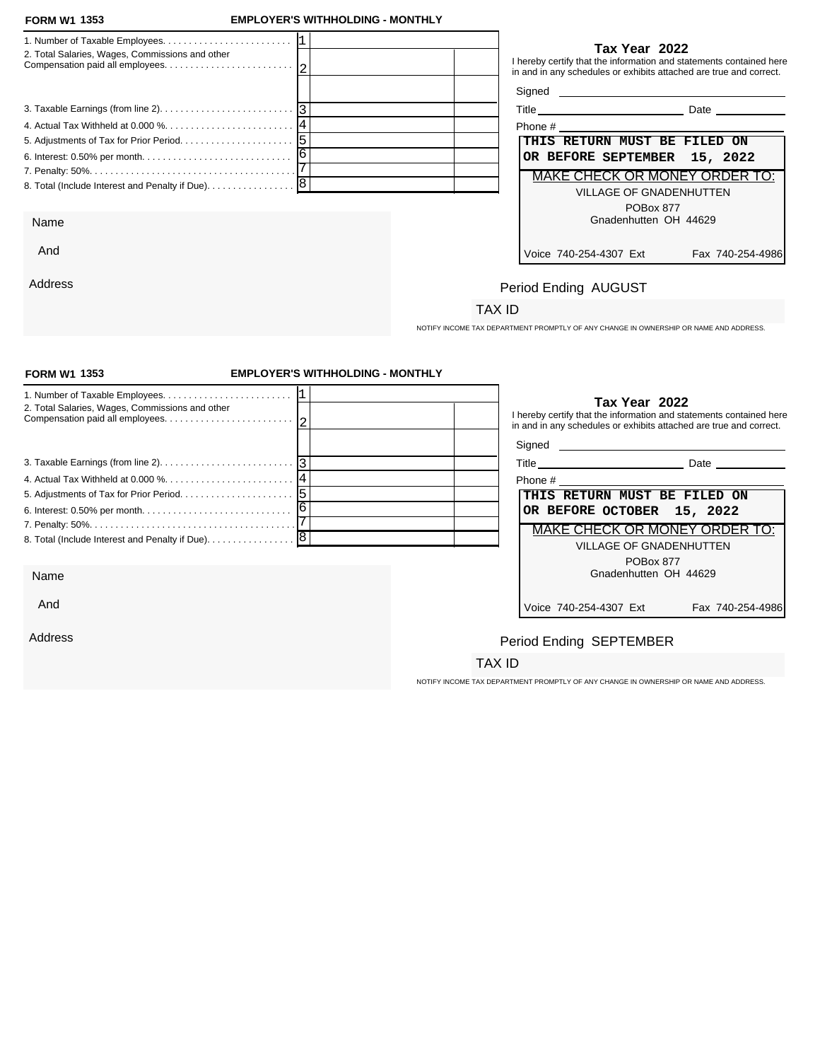Address

#### **FORM W1 EMPLOYER'S WITHHOLDING - MONTHLY**

| 2. Total Salaries, Wages, Commissions and other | Tax Year 2022<br>I hereby certify that the information and statements contained here<br>in and in any schedules or exhibits attached are true and correct. |
|-------------------------------------------------|------------------------------------------------------------------------------------------------------------------------------------------------------------|
|                                                 |                                                                                                                                                            |
|                                                 | Date __________                                                                                                                                            |
|                                                 |                                                                                                                                                            |
|                                                 | THIS RETURN MUST BE FILED ON                                                                                                                               |
|                                                 | OR BEFORE SEPTEMBER 15, 2022                                                                                                                               |
|                                                 | <b>MAKE CHECK OR MONEY ORDER TO:</b>                                                                                                                       |
|                                                 | <b>VILLAGE OF GNADENHUTTEN</b>                                                                                                                             |
| Name                                            | POBox 877<br>Gnadenhutten OH 44629                                                                                                                         |
| And                                             | Voice 740-254-4307 Ext<br>Fax 740-254-4986                                                                                                                 |

## Period Ending AUGUST

## TAX ID

NOTIFY INCOME TAX DEPARTMENT PROMPTLY OF ANY CHANGE IN OWNERSHIP OR NAME AND ADDRESS.

| <b>FORM W1 1353</b>                               | <b>EMPLOYER'S WITHHOLDING - MONTHLY</b> |                                                                                                                                                            |
|---------------------------------------------------|-----------------------------------------|------------------------------------------------------------------------------------------------------------------------------------------------------------|
| 2. Total Salaries, Wages, Commissions and other   |                                         | Tax Year 2022<br>I hereby certify that the information and statements contained here<br>in and in any schedules or exhibits attached are true and correct. |
|                                                   |                                         |                                                                                                                                                            |
|                                                   |                                         | Title Date Date                                                                                                                                            |
|                                                   |                                         |                                                                                                                                                            |
|                                                   |                                         | THIS RETURN MUST BE FILED<br>ON                                                                                                                            |
|                                                   |                                         | OR BEFORE OCTOBER 15, 2022                                                                                                                                 |
|                                                   |                                         | MAKE CHECK OR MONEY ORDER TO:                                                                                                                              |
| 8. Total (Include Interest and Penalty if Due). 8 |                                         | <b>VILLAGE OF GNADENHUTTEN</b>                                                                                                                             |
|                                                   |                                         | <b>POBox 877</b>                                                                                                                                           |
| Name                                              |                                         | Gnadenhutten OH 44629                                                                                                                                      |
| And                                               |                                         | Voice 740-254-4307 Ext<br>Fax 740-254-4986                                                                                                                 |
| Address                                           |                                         | Period Ending SEPTEMBER                                                                                                                                    |
|                                                   |                                         | TAX ID                                                                                                                                                     |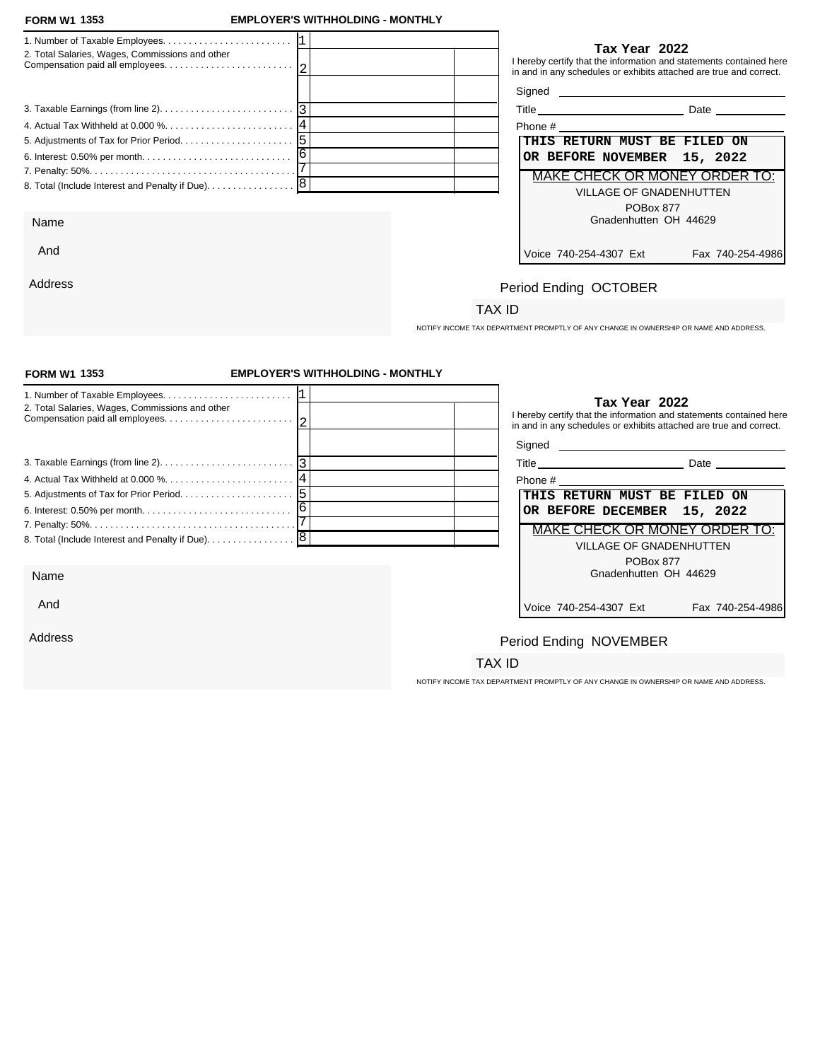Address

## **FORM W1 EMPLOYER'S WITHHOLDING - MONTHLY**

| <u>UINII II IUUU</u>                            |                                                                                                                                                            |
|-------------------------------------------------|------------------------------------------------------------------------------------------------------------------------------------------------------------|
|                                                 |                                                                                                                                                            |
| 2. Total Salaries, Wages, Commissions and other | Tax Year 2022<br>I hereby certify that the information and statements contained here<br>in and in any schedules or exhibits attached are true and correct. |
|                                                 | Signed <b>Signed</b>                                                                                                                                       |
|                                                 | Title Date Date                                                                                                                                            |
|                                                 |                                                                                                                                                            |
|                                                 | THIS RETURN MUST BE FILED ON                                                                                                                               |
|                                                 | OR BEFORE NOVEMBER 15, 2022                                                                                                                                |
|                                                 | MAKE CHECK OR MONEY ORDER TO:                                                                                                                              |
|                                                 | <b>VILLAGE OF GNADENHUTTEN</b>                                                                                                                             |
|                                                 | POBox 877                                                                                                                                                  |
| Name                                            | Gnadenhutten OH 44629                                                                                                                                      |
| And                                             | Voice 740-254-4307 Ext<br>Fax 740-254-4986                                                                                                                 |

# Period Ending OCTOBER

# TAX ID

NOTIFY INCOME TAX DEPARTMENT PROMPTLY OF ANY CHANGE IN OWNERSHIP OR NAME AND ADDRESS.

| <b>FORM W1 1353</b>                                                                             | <b>EMPLOYER'S WITHHOLDING - MONTHLY</b> |                                                                                                                                                            |                  |
|-------------------------------------------------------------------------------------------------|-----------------------------------------|------------------------------------------------------------------------------------------------------------------------------------------------------------|------------------|
| 2. Total Salaries, Wages, Commissions and other                                                 |                                         | Tax Year 2022<br>I hereby certify that the information and statements contained here<br>in and in any schedules or exhibits attached are true and correct. |                  |
|                                                                                                 |                                         |                                                                                                                                                            |                  |
| 3. Taxable Earnings (from line 2). $\ldots$ . $\ldots$ . $\ldots$ . $\ldots$ . $\ldots$ . $ 3 $ |                                         |                                                                                                                                                            |                  |
|                                                                                                 |                                         |                                                                                                                                                            |                  |
|                                                                                                 |                                         | THIS RETURN MUST BE FILED ON                                                                                                                               |                  |
|                                                                                                 |                                         | OR BEFORE DECEMBER 15, 2022                                                                                                                                |                  |
|                                                                                                 |                                         | MAKE CHECK OR MONEY ORDER TO:                                                                                                                              |                  |
|                                                                                                 |                                         | <b>VILLAGE OF GNADENHUTTEN</b>                                                                                                                             |                  |
|                                                                                                 |                                         | POBox 877                                                                                                                                                  |                  |
| Name                                                                                            |                                         | Gnadenhutten OH 44629                                                                                                                                      |                  |
| And                                                                                             |                                         | Voice 740-254-4307 Ext                                                                                                                                     | Fax 740-254-4986 |
| Address                                                                                         |                                         | Period Ending NOVEMBER                                                                                                                                     |                  |
|                                                                                                 |                                         | TAX ID                                                                                                                                                     |                  |